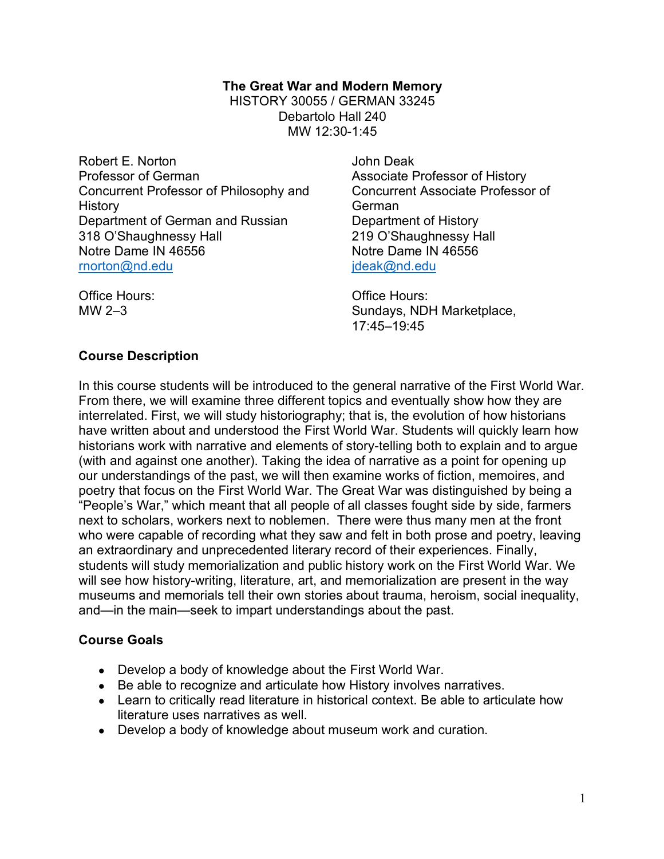### **The Great War and Modern Memory** HISTORY 30055 / GERMAN 33245 Debartolo Hall 240 MW 12:30-1:45

Robert E. Norton Professor of German Concurrent Professor of Philosophy and History Department of German and Russian 318 O'Shaughnessy Hall Notre Dame IN 46556 rnorton@nd.edu

John Deak Associate Professor of History Concurrent Associate Professor of German Department of History 219 O'Shaughnessy Hall Notre Dame IN 46556 jdeak@nd.edu

Office Hours: MW 2–3

Office Hours: Sundays, NDH Marketplace, 17:45–19:45

## **Course Description**

In this course students will be introduced to the general narrative of the First World War. From there, we will examine three different topics and eventually show how they are interrelated. First, we will study historiography; that is, the evolution of how historians have written about and understood the First World War. Students will quickly learn how historians work with narrative and elements of story-telling both to explain and to argue (with and against one another). Taking the idea of narrative as a point for opening up our understandings of the past, we will then examine works of fiction, memoires, and poetry that focus on the First World War. The Great War was distinguished by being a "People's War," which meant that all people of all classes fought side by side, farmers next to scholars, workers next to noblemen. There were thus many men at the front who were capable of recording what they saw and felt in both prose and poetry, leaving an extraordinary and unprecedented literary record of their experiences. Finally, students will study memorialization and public history work on the First World War. We will see how history-writing, literature, art, and memorialization are present in the way museums and memorials tell their own stories about trauma, heroism, social inequality, and—in the main—seek to impart understandings about the past.

## **Course Goals**

- Develop a body of knowledge about the First World War.
- Be able to recognize and articulate how History involves narratives.
- Learn to critically read literature in historical context. Be able to articulate how literature uses narratives as well.
- Develop a body of knowledge about museum work and curation.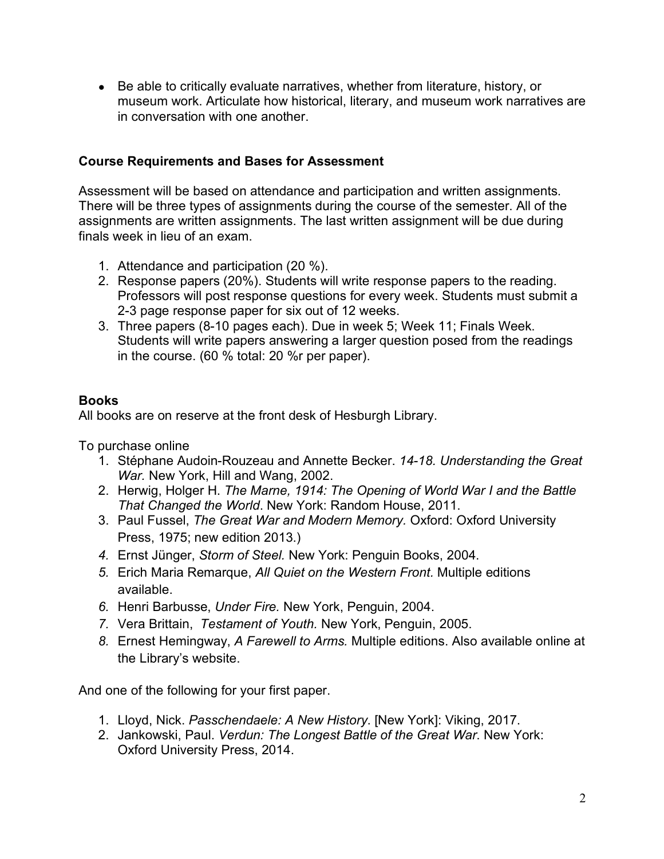● Be able to critically evaluate narratives, whether from literature, history, or museum work. Articulate how historical, literary, and museum work narratives are in conversation with one another.

## **Course Requirements and Bases for Assessment**

Assessment will be based on attendance and participation and written assignments. There will be three types of assignments during the course of the semester. All of the assignments are written assignments. The last written assignment will be due during finals week in lieu of an exam.

- 1. Attendance and participation (20 %).
- 2. Response papers (20%). Students will write response papers to the reading. Professors will post response questions for every week. Students must submit a 2-3 page response paper for six out of 12 weeks.
- 3. Three papers (8-10 pages each). Due in week 5; Week 11; Finals Week. Students will write papers answering a larger question posed from the readings in the course. (60 % total: 20 %r per paper).

## **Books**

All books are on reserve at the front desk of Hesburgh Library.

To purchase online

- 1. Stéphane Audoin-Rouzeau and Annette Becker. *14-18. Understanding the Great War.* New York, Hill and Wang, 2002.
- 2. Herwig, Holger H. *The Marne, 1914: The Opening of World War I and the Battle That Changed the World*. New York: Random House, 2011.
- 3. Paul Fussel, *The Great War and Modern Memory.* Oxford: Oxford University Press, 1975; new edition 2013.)
- *4.* Ernst Jünger, *Storm of Steel.* New York: Penguin Books, 2004.
- *5.* Erich Maria Remarque, *All Quiet on the Western Front.* Multiple editions available.
- *6.* Henri Barbusse, *Under Fire.* New York, Penguin, 2004.
- *7.* Vera Brittain, *Testament of Youth.* New York, Penguin, 2005.
- *8.* Ernest Hemingway, *A Farewell to Arms.* Multiple editions. Also available online at the Library's website.

And one of the following for your first paper.

- 1. Lloyd, Nick. *Passchendaele: A New History*. [New York]: Viking, 2017.
- 2. Jankowski, Paul. *Verdun: The Longest Battle of the Great War*. New York: Oxford University Press, 2014.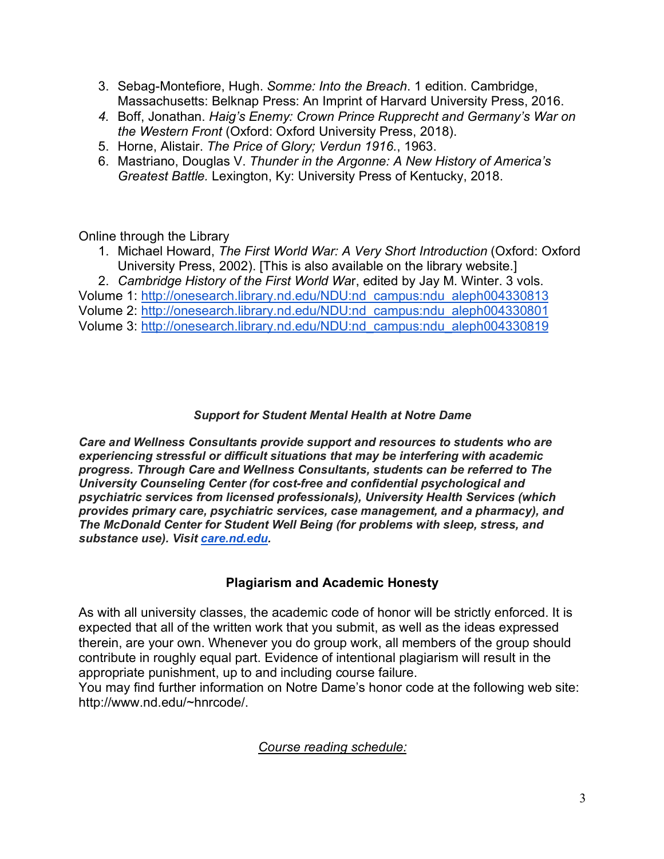- 3. Sebag-Montefiore, Hugh. *Somme: Into the Breach*. 1 edition. Cambridge, Massachusetts: Belknap Press: An Imprint of Harvard University Press, 2016.
- *4.* Boff, Jonathan. *Haig's Enemy: Crown Prince Rupprecht and Germany's War on the Western Front* (Oxford: Oxford University Press, 2018).
- 5. Horne, Alistair. *The Price of Glory; Verdun 1916.*, 1963.
- 6. Mastriano, Douglas V. *Thunder in the Argonne: A New History of America's Greatest Battle.* Lexington, Ky: University Press of Kentucky, 2018.

Online through the Library

- 1. Michael Howard, *The First World War: A Very Short Introduction* (Oxford: Oxford University Press, 2002). [This is also available on the library website.]
- 2. *Cambridge History of the First World Wa*r, edited by Jay M. Winter. 3 vols.

Volume 1: http://onesearch.library.nd.edu/NDU:nd\_campus:ndu\_aleph004330813 Volume 2: http://onesearch.library.nd.edu/NDU:nd\_campus:ndu\_aleph004330801 Volume 3: http://onesearch.library.nd.edu/NDU:nd\_campus:ndu\_aleph004330819

## *Support for Student Mental Health at Notre Dame*

*Care and Wellness Consultants provide support and resources to students who are experiencing stressful or difficult situations that may be interfering with academic progress. Through Care and Wellness Consultants, students can be referred to The University Counseling Center (for cost-free and confidential psychological and psychiatric services from licensed professionals), University Health Services (which provides primary care, psychiatric services, case management, and a pharmacy), and The McDonald Center for Student Well Being (for problems with sleep, stress, and substance use). Visit care.nd.edu.*

## **Plagiarism and Academic Honesty**

As with all university classes, the academic code of honor will be strictly enforced. It is expected that all of the written work that you submit, as well as the ideas expressed therein, are your own. Whenever you do group work, all members of the group should contribute in roughly equal part. Evidence of intentional plagiarism will result in the appropriate punishment, up to and including course failure.

You may find further information on Notre Dame's honor code at the following web site: http://www.nd.edu/~hnrcode/.

*Course reading schedule:*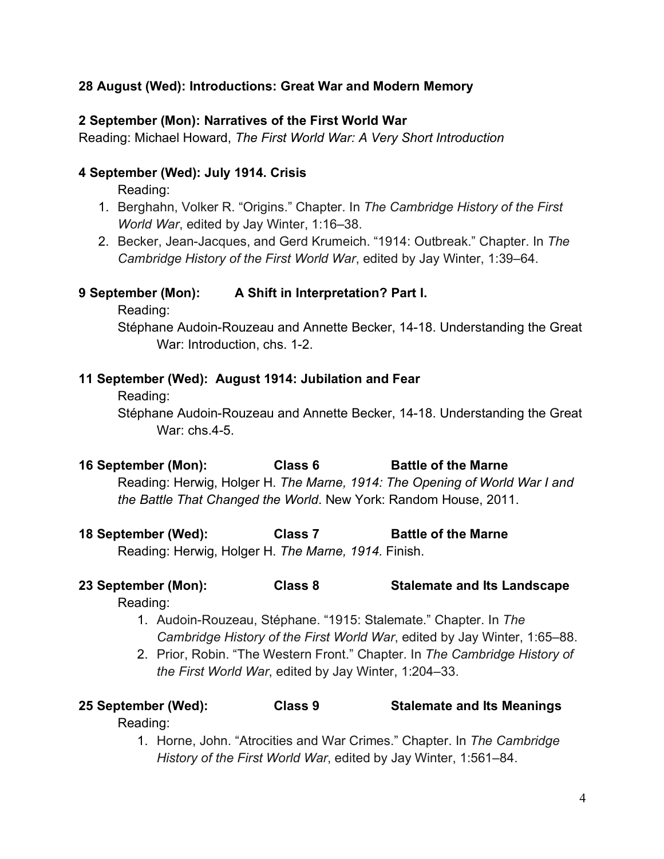## **28 August (Wed): Introductions: Great War and Modern Memory**

## **2 September (Mon): Narratives of the First World War**

Reading: Michael Howard, *The First World War: A Very Short Introduction* 

## **4 September (Wed): July 1914. Crisis**

Reading:

- 1. Berghahn, Volker R. "Origins." Chapter. In *The Cambridge History of the First World War*, edited by Jay Winter, 1:16–38.
- 2. Becker, Jean-Jacques, and Gerd Krumeich. "1914: Outbreak." Chapter. In *The Cambridge History of the First World War*, edited by Jay Winter, 1:39–64.

## **9 September (Mon): A Shift in Interpretation? Part I.**

Reading:

Stéphane Audoin-Rouzeau and Annette Becker, 14-18. Understanding the Great War: Introduction, chs. 1-2.

## **11 September (Wed): August 1914: Jubilation and Fear**

Reading:

Stéphane Audoin-Rouzeau and Annette Becker, 14-18. Understanding the Great War: chs.4-5.

**16 September (Mon): Class 6 Battle of the Marne** 

Reading: Herwig, Holger H. *The Marne, 1914: The Opening of World War I and the Battle That Changed the World*. New York: Random House, 2011.

**18 September (Wed): Class 7 Battle of the Marne**

Reading: Herwig, Holger H. *The Marne, 1914.* Finish.

# **23 September (Mon): Class 8 Stalemate and Its Landscape**

Reading:

- 1. Audoin-Rouzeau, Stéphane. "1915: Stalemate." Chapter. In *The Cambridge History of the First World War*, edited by Jay Winter, 1:65–88.
- 2. Prior, Robin. "The Western Front." Chapter. In *The Cambridge History of the First World War*, edited by Jay Winter, 1:204–33.

# **25 September (Wed): Class 9 Stalemate and Its Meanings**

Reading:

1. Horne, John. "Atrocities and War Crimes." Chapter. In *The Cambridge History of the First World War*, edited by Jay Winter, 1:561–84.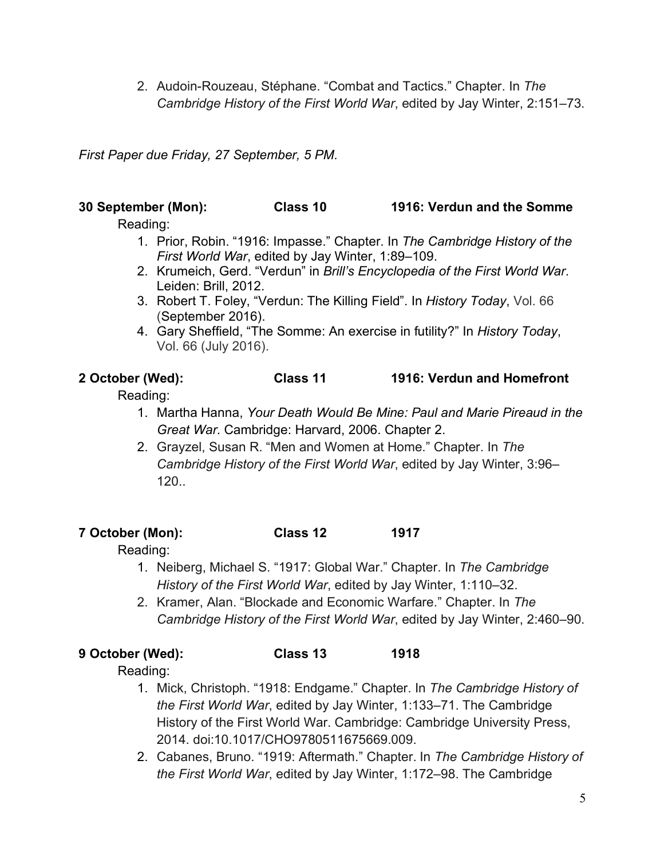2. Audoin-Rouzeau, Stéphane. "Combat and Tactics." Chapter. In *The Cambridge History of the First World War*, edited by Jay Winter, 2:151–73.

*First Paper due Friday, 27 September, 5 PM.*

## **30 September (Mon): Class 10 1916: Verdun and the Somme**

Reading:

- 1. Prior, Robin. "1916: Impasse." Chapter. In *The Cambridge History of the First World War*, edited by Jay Winter, 1:89–109.
- 2. Krumeich, Gerd. "Verdun" in *Brill's Encyclopedia of the First World War*. Leiden: Brill, 2012.
- 3. Robert T. Foley, "Verdun: The Killing Field". In *History Today*, Vol. 66 (September 2016).
- 4. Gary Sheffield, "The Somme: An exercise in futility?" In *History Today*, Vol. 66 (July 2016).

## **2 October (Wed): Class 11 1916: Verdun and Homefront**

Reading:

- 1. Martha Hanna, *Your Death Would Be Mine: Paul and Marie Pireaud in the Great War*. Cambridge: Harvard, 2006. Chapter 2.
- 2. Grayzel, Susan R. "Men and Women at Home." Chapter. In *The Cambridge History of the First World War*, edited by Jay Winter, 3:96– 120..

## **7 October (Mon): Class 12 1917**

Reading:

- 1. Neiberg, Michael S. "1917: Global War." Chapter. In *The Cambridge History of the First World War*, edited by Jay Winter, 1:110–32.
- 2. Kramer, Alan. "Blockade and Economic Warfare." Chapter. In *The Cambridge History of the First World War*, edited by Jay Winter, 2:460–90.

**9 October (Wed): Class 13 1918**

Reading:

- 1. Mick, Christoph. "1918: Endgame." Chapter. In *The Cambridge History of the First World War*, edited by Jay Winter, 1:133–71. The Cambridge History of the First World War. Cambridge: Cambridge University Press, 2014. doi:10.1017/CHO9780511675669.009.
- 2. Cabanes, Bruno. "1919: Aftermath." Chapter. In *The Cambridge History of the First World War*, edited by Jay Winter, 1:172–98. The Cambridge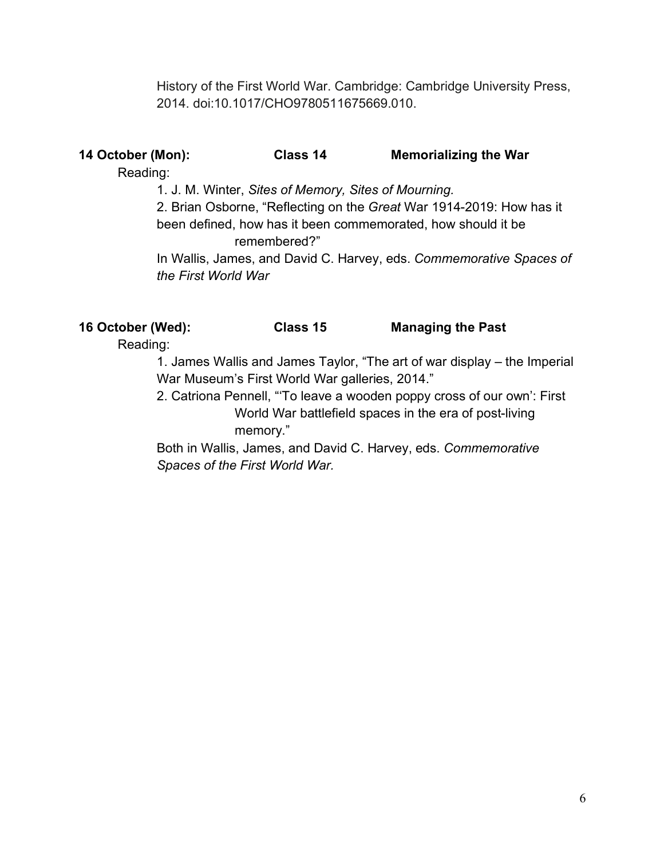History of the First World War. Cambridge: Cambridge University Press, 2014. doi:10.1017/CHO9780511675669.010.

## **14 October (Mon): Class 14 Memorializing the War**

Reading:

1. J. M. Winter, *Sites of Memory, Sites of Mourning.*

2. Brian Osborne, "Reflecting on the *Great* War 1914-2019: How has it been defined, how has it been commemorated, how should it be remembered?"

In Wallis, James, and David C. Harvey, eds. *Commemorative Spaces of the First World War*

**16 October (Wed): Class 15 Managing the Past**

Reading:

1. James Wallis and James Taylor, "The art of war display – the Imperial War Museum's First World War galleries, 2014."

2. Catriona Pennell, "'To leave a wooden poppy cross of our own': First World War battlefield spaces in the era of post-living memory."

Both in Wallis, James, and David C. Harvey, eds. *Commemorative Spaces of the First World War.*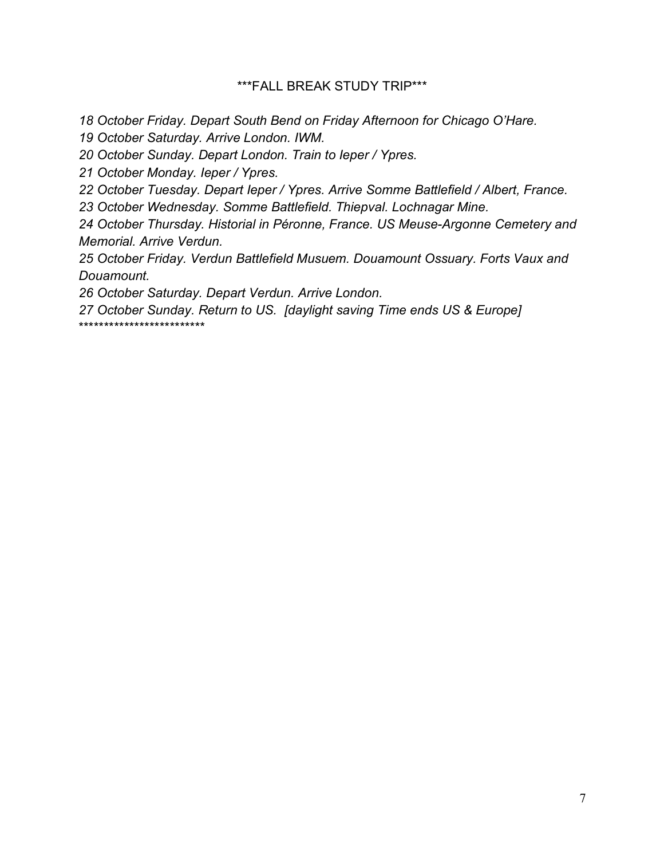## \*\*\*FALL BREAK STUDY TRIP\*\*\*

*18 October Friday. Depart South Bend on Friday Afternoon for Chicago O'Hare.* 

*19 October Saturday. Arrive London. IWM.*

*20 October Sunday. Depart London. Train to Ieper / Ypres.*

*21 October Monday. Ieper / Ypres.*

*22 October Tuesday. Depart Ieper / Ypres. Arrive Somme Battlefield / Albert, France.*

*23 October Wednesday. Somme Battlefield. Thiepval. Lochnagar Mine.* 

*24 October Thursday. Historial in Péronne, France. US Meuse-Argonne Cemetery and Memorial. Arrive Verdun.* 

*25 October Friday. Verdun Battlefield Musuem. Douamount Ossuary. Forts Vaux and Douamount.* 

*26 October Saturday. Depart Verdun. Arrive London.* 

*27 October Sunday. Return to US. [daylight saving Time ends US & Europe]* \*\*\*\*\*\*\*\*\*\*\*\*\*\*\*\*\*\*\*\*\*\*\*\*\*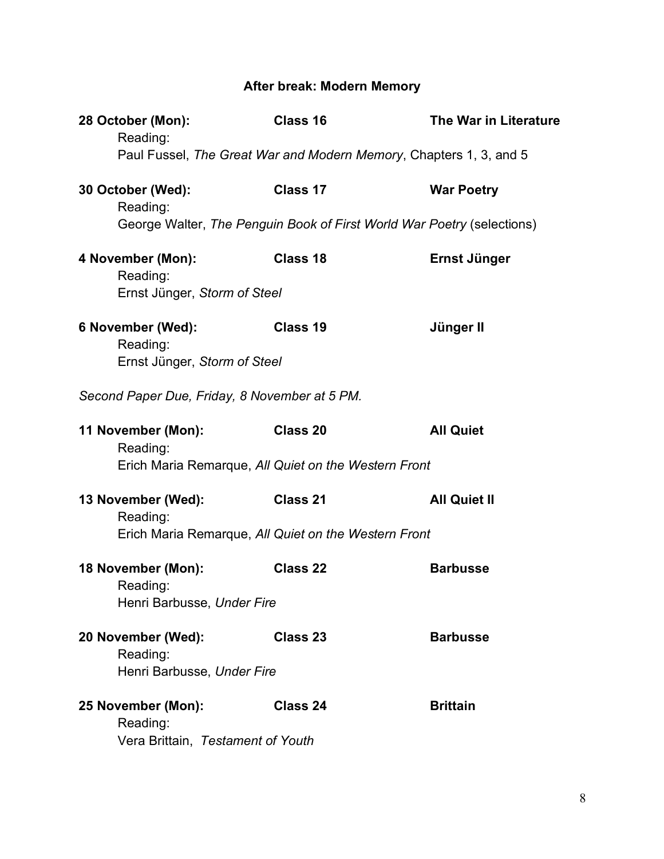# **After break: Modern Memory**

| 28 October (Mon):<br>Reading:                                       | Class 16                                                               | <b>The War in Literature</b> |  |
|---------------------------------------------------------------------|------------------------------------------------------------------------|------------------------------|--|
|                                                                     | Paul Fussel, The Great War and Modern Memory, Chapters 1, 3, and 5     |                              |  |
| 30 October (Wed):<br>Reading:                                       | Class 17                                                               | <b>War Poetry</b>            |  |
|                                                                     | George Walter, The Penguin Book of First World War Poetry (selections) |                              |  |
| 4 November (Mon):<br>Reading:<br>Ernst Jünger, Storm of Steel       | Class 18                                                               | Ernst Jünger                 |  |
| 6 November (Wed):<br>Reading:<br>Ernst Jünger, Storm of Steel       | Class 19                                                               | Jünger II                    |  |
| Second Paper Due, Friday, 8 November at 5 PM.                       |                                                                        |                              |  |
| 11 November (Mon):<br>Reading:                                      | Class 20                                                               | <b>All Quiet</b>             |  |
|                                                                     | Erich Maria Remarque, All Quiet on the Western Front                   |                              |  |
| 13 November (Wed):<br>Reading:                                      | Class 21                                                               | <b>All Quiet II</b>          |  |
| Erich Maria Remarque, All Quiet on the Western Front                |                                                                        |                              |  |
| 18 November (Mon):<br>Reading:<br>Henri Barbusse, Under Fire        | Class 22                                                               | <b>Barbusse</b>              |  |
| 20 November (Wed):<br>Reading:<br>Henri Barbusse, Under Fire        | Class 23                                                               | <b>Barbusse</b>              |  |
| 25 November (Mon):<br>Reading:<br>Vera Brittain, Testament of Youth | Class 24                                                               | <b>Brittain</b>              |  |